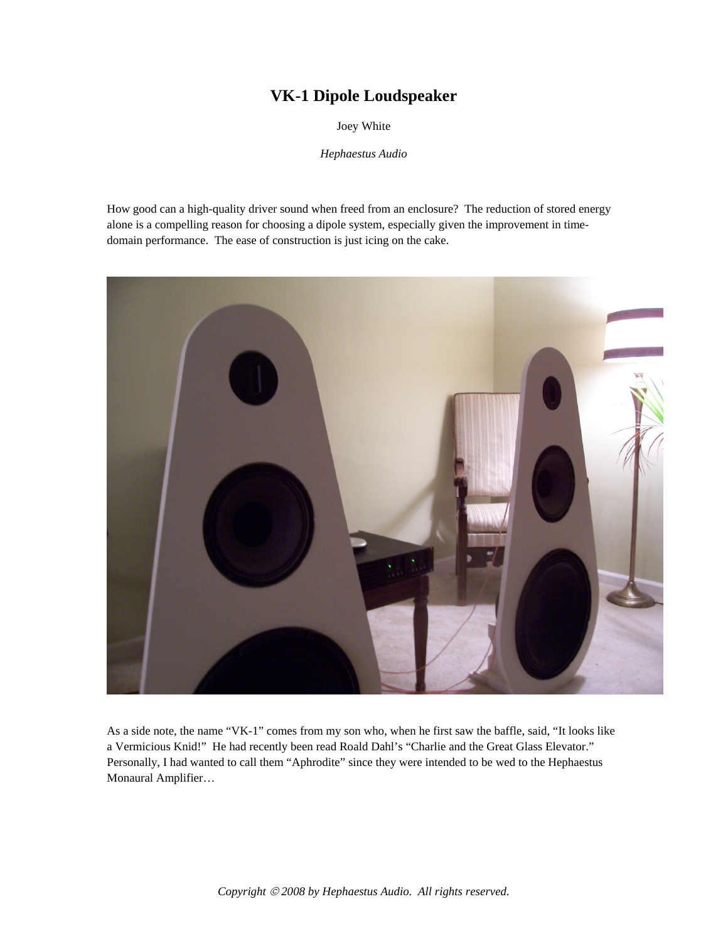# **VK-1 Dipole Loudspeaker**

Joey White

*Hephaestus Audio* 

How good can a high-quality driver sound when freed from an enclosure? The reduction of stored energy alone is a compelling reason for choosing a dipole system, especially given the improvement in timedomain performance. The ease of construction is just icing on the cake.



As a side note, the name "VK-1" comes from my son who, when he first saw the baffle, said, "It looks like a Vermicious Knid!" He had recently been read Roald Dahl's "Charlie and the Great Glass Elevator." Personally, I had wanted to call them "Aphrodite" since they were intended to be wed to the Hephaestus Monaural Amplifier…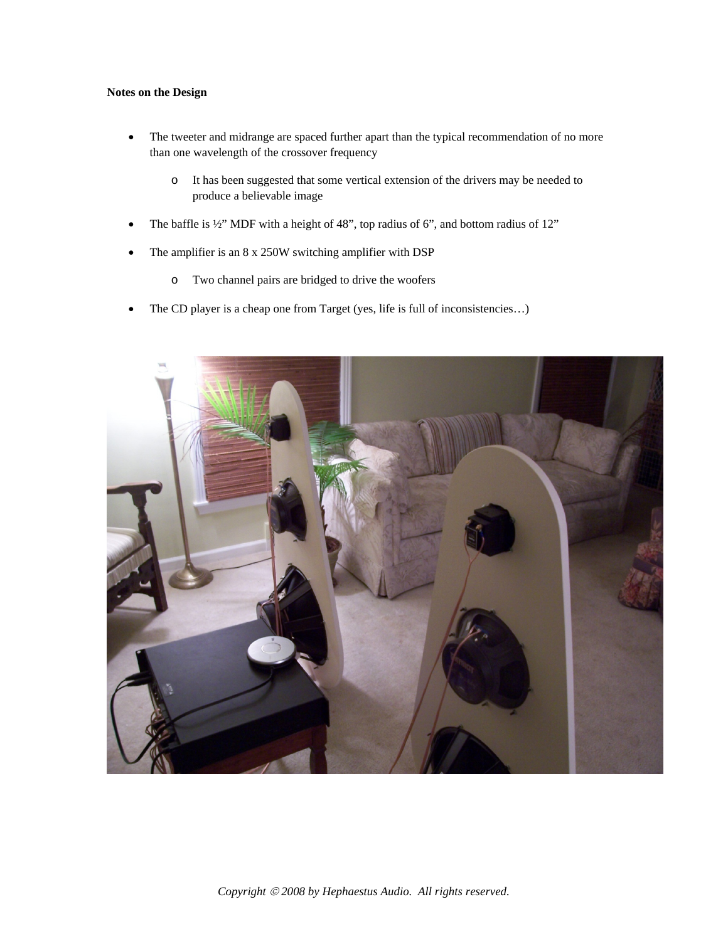## **Notes on the Design**

- The tweeter and midrange are spaced further apart than the typical recommendation of no more than one wavelength of the crossover frequency
	- o It has been suggested that some vertical extension of the drivers may be needed to produce a believable image
- The baffle is  $\frac{1}{2}$ " MDF with a height of 48", top radius of 6", and bottom radius of 12"
- The amplifier is an 8 x 250W switching amplifier with DSP
	- o Two channel pairs are bridged to drive the woofers
- The CD player is a cheap one from Target (yes, life is full of inconsistencies...)

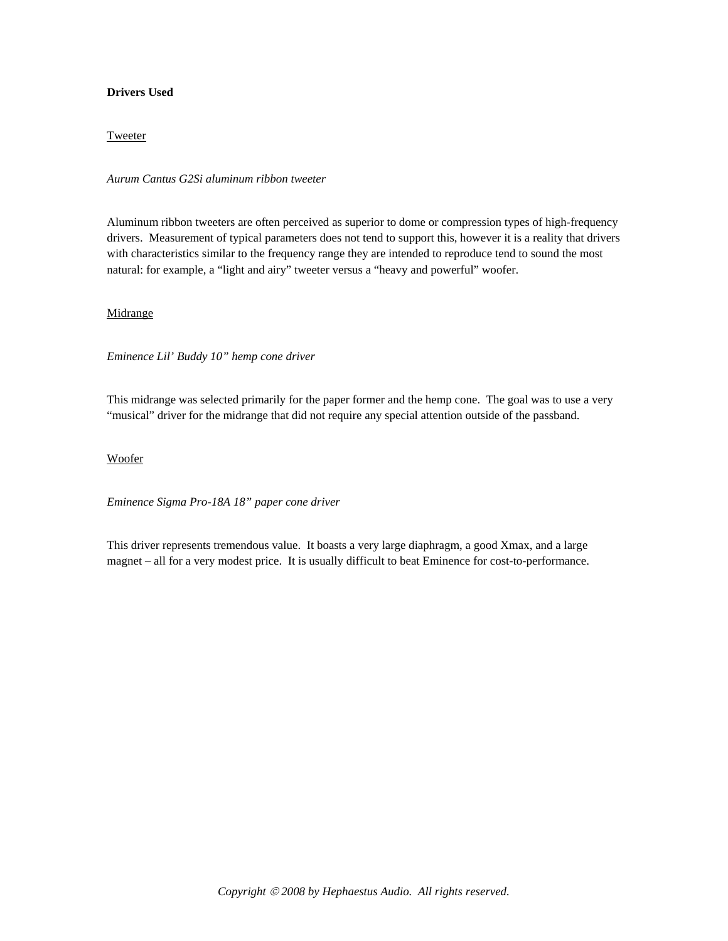# **Drivers Used**

## **Tweeter**

*Aurum Cantus G2Si aluminum ribbon tweeter* 

Aluminum ribbon tweeters are often perceived as superior to dome or compression types of high-frequency drivers. Measurement of typical parameters does not tend to support this, however it is a reality that drivers with characteristics similar to the frequency range they are intended to reproduce tend to sound the most natural: for example, a "light and airy" tweeter versus a "heavy and powerful" woofer.

## Midrange

*Eminence Lil' Buddy 10" hemp cone driver*

This midrange was selected primarily for the paper former and the hemp cone. The goal was to use a very "musical" driver for the midrange that did not require any special attention outside of the passband.

#### Woofer

*Eminence Sigma Pro-18A 18" paper cone driver* 

This driver represents tremendous value. It boasts a very large diaphragm, a good Xmax, and a large magnet – all for a very modest price. It is usually difficult to beat Eminence for cost-to-performance.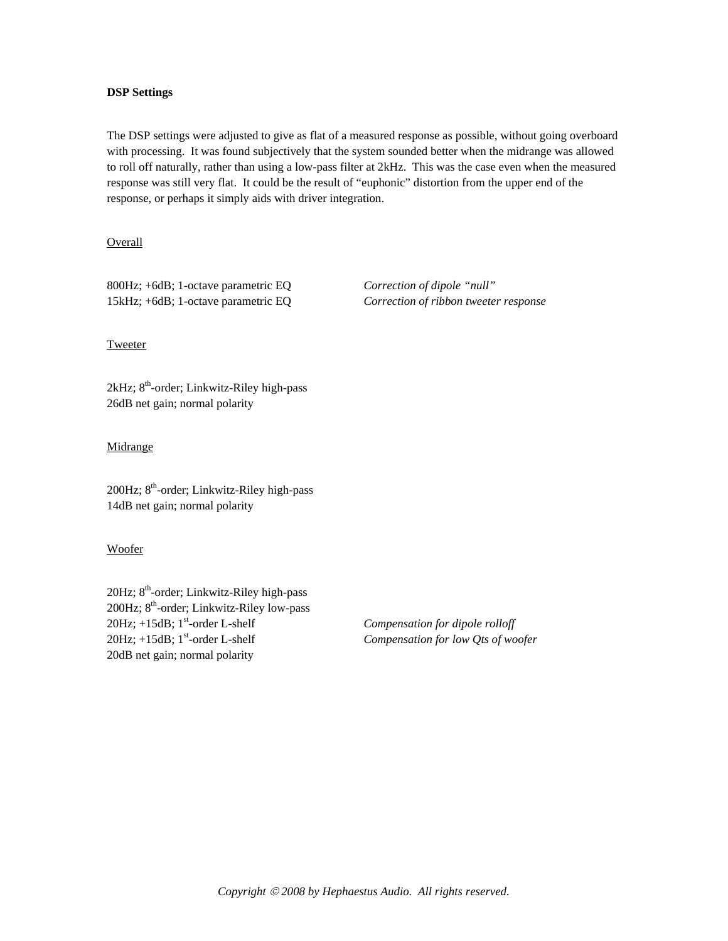## **DSP Settings**

The DSP settings were adjusted to give as flat of a measured response as possible, without going overboard with processing. It was found subjectively that the system sounded better when the midrange was allowed to roll off naturally, rather than using a low-pass filter at 2kHz. This was the case even when the measured response was still very flat. It could be the result of "euphonic" distortion from the upper end of the response, or perhaps it simply aids with driver integration.

Overall

800Hz; +6dB; 1-octave parametric EQ *Correction of dipole "null"* 15kHz; +6dB; 1-octave parametric EQ *Correction of ribbon tweeter response*

### Tweeter

 $2kHz$ ;  $8<sup>th</sup>$ -order; Linkwitz-Riley high-pass 26dB net gain; normal polarity

### **Midrange**

200Hz; 8<sup>th</sup>-order; Linkwitz-Riley high-pass 14dB net gain; normal polarity

### Woofer

 $20Hz$ ;  $8<sup>th</sup>$ -order; Linkwitz-Riley high-pass 200Hz; 8<sup>th</sup>-order; Linkwitz-Riley low-pass 20Hz;  $+15dB$ ; 1<sup>st</sup>-order L-shelf *Compensation for dipole rolloff* 20Hz; +15dB; 1<sup>st</sup>-order L-shelf *Compensation for low Qts of woofer* 20dB net gain; normal polarity